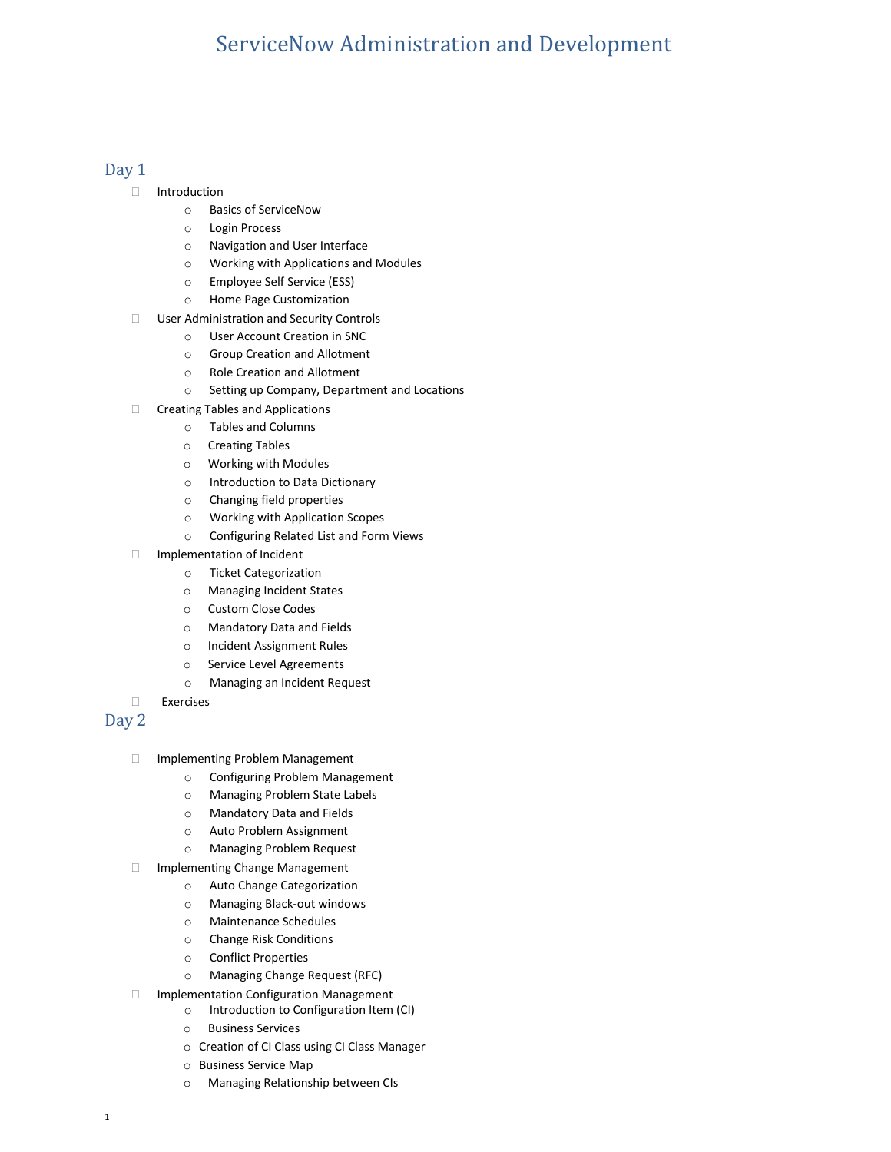## ServiceNow Administration and Development

## Day 1

- Introduction
	- o Basics of ServiceNow
	- o Login Process
	- o Navigation and User Interface
	- o Working with Applications and Modules
	- o Employee Self Service (ESS)
	- o Home Page Customization
- □ User Administration and Security Controls
	- o User Account Creation in SNC
	- o Group Creation and Allotment
	- o Role Creation and Allotment
	- o Setting up Company, Department and Locations
- □ Creating Tables and Applications
	- o Tables and Columns
		- o Creating Tables
		- o Working with Modules
		- o Introduction to Data Dictionary
		- o Changing field properties
		- o Working with Application Scopes
		- o Configuring Related List and Form Views
- Implementation of Incident
	- o Ticket Categorization
	- o Managing Incident States
	- o Custom Close Codes
	- o Mandatory Data and Fields
	- o Incident Assignment Rules
	- o Service Level Agreements
	- o Managing an Incident Request
- Exercises

## Day 2

- Implementing Problem Management
	- o Configuring Problem Management
	- o Managing Problem State Labels
	- o Mandatory Data and Fields
	- o Auto Problem Assignment
	- o Managing Problem Request
- □ Implementing Change Management
	- o Auto Change Categorization
		- o Managing Black-out windows
		- o Maintenance Schedules
		- o Change Risk Conditions
		- o Conflict Properties
		- o Managing Change Request (RFC)
- $\Box$  Implementation Configuration Management
	- o Introduction to Configuration Item (CI)
	- o Business Services
	- o Creation of CI Class using CI Class Manager
	- o Business Service Map
	- o Managing Relationship between CIs